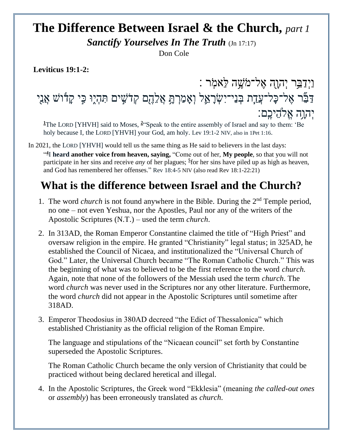## **The Difference Between Israel & the Church,** *part 1*

*Sanctify Yourselves In The Truth* (Jn 17:17)

Don Cole

**Leviticus 19:1-2:** 

וַיְדַבֵּר יְהוָה אֶל־מֹשֶׁה לֵ**ֹאמֹ**ֽר : דַּבֵּר אֶל־כָּל־עֲדָת בְּנֵי־יִשְׂרָאֵל וְאָמַרְתָּ אֲלֵהֶם קְדֹשִׁים תִּהְיֶוּ כִּי קָדֿוֹשׁ אֲנִי יְהו ֵּ֥ה אֱֹלהֵּיכֶֹֽם׃

<sup>[1](http://biblehub.com/leviticus/19-1.htm)</sup>The LORD [YHVH] said to Moses, <sup>[2](http://biblehub.com/leviticus/19-2.htm)</sup> 'Speak to the entire assembly of Israel and say to them: 'Be holy because I, the LORD [YHVH] your God, am holy. Lev 19:1-2 NIV, also in 1Pet 1:16.

In 2021, the LORD [YHVH] would tell us the same thing as He said to believers in the last days:

["](https://biblehub.com/revelation/18-4.htm) **4** I **heard another voice from heaven, saying,** "Come out of her, **My people**, so that you will not participate in her sins and receive *any* of her plagues; **[5](https://biblehub.com/revelation/18-5.htm)** for her sins have piled up as high as heaven, and God has remembered her offenses." Rev 18:4-5 NIV (also read Rev 18:1-22:21)

## **What is the difference between Israel and the Church?**

- 1. The word *church* is not found anywhere in the Bible. During the 2nd Temple period, no one – not even Yeshua, nor the Apostles, Paul nor any of the writers of the Apostolic Scriptures (N.T.) – used the term *church*.
- 2. In 313AD, the Roman Emperor Constantine claimed the title of "High Priest" and oversaw religion in the empire. He granted "Christianity" legal status; in 325AD, he established the Council of Nicaea, and institutionalized the "Universal Church of God." Later, the Universal Church became "The Roman Catholic Church." This was the beginning of what was to believed to be the first reference to the word *church.* Again, note that none of the followers of the Messiah used the term *church*. The word *church* was never used in the Scriptures nor any other literature. Furthermore, the word *church* did not appear in the Apostolic Scriptures until sometime after 318AD.
- 3. Emperor Theodosius in 380AD decreed "the Edict of Thessalonica" which established Christianity as the official religion of the Roman Empire.

The language and stipulations of the "Nicaean council" set forth by Constantine superseded the Apostolic Scriptures.

The Roman Catholic Church became the only version of Christianity that could be practiced without being declared heretical and illegal.

4. In the Apostolic Scriptures, the Greek word "Ekklesia" (meaning *the called-out ones* or *assembly*) has been erroneously translated as *church*.